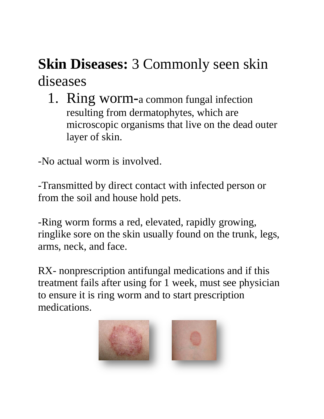## **Skin Diseases: 3 Commonly seen skin** diseases

1. Ring worm**-**a common fungal infection resulting from dermatophytes, which are microscopic organisms that live on the dead outer layer of skin.

-No actual worm is involved.

-Transmitted by direct contact with infected person or from the soil and house hold pets.

-Ring worm forms a red, elevated, rapidly growing, ringlike sore on the skin usually found on the trunk, legs, arms, neck, and face.

RX- nonprescription antifungal medications and if this treatment fails after using for 1 week, must see physician to ensure it is ring worm and to start prescription medications.

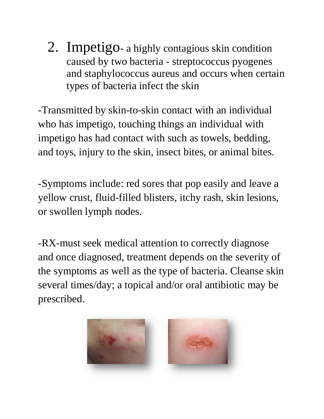2. Impetigo- a highly contagious skin condition caused by two bacteria - streptococcus pyogenes and staphylococcus aureus and occurs when certain types of bacteria infect the skin

-Transmitted by skin-to-skin contact with an individual who has impetigo, touching things an individual with impetigo has had contact with such as towels, bedding, and toys, injury to the skin, insect bites, or animal bites.

-Symptoms include: red sores that pop easily and leave a yellow crust, fluid-filled blisters, itchy rash, skin lesions, or swollen lymph nodes.

-RX-must seek medical attention to correctly diagnose and once diagnosed, treatment depends on the severity of the symptoms as well as the type of bacteria. Cleanse skin several times/day; a topical and/or oral antibiotic may be prescribed.